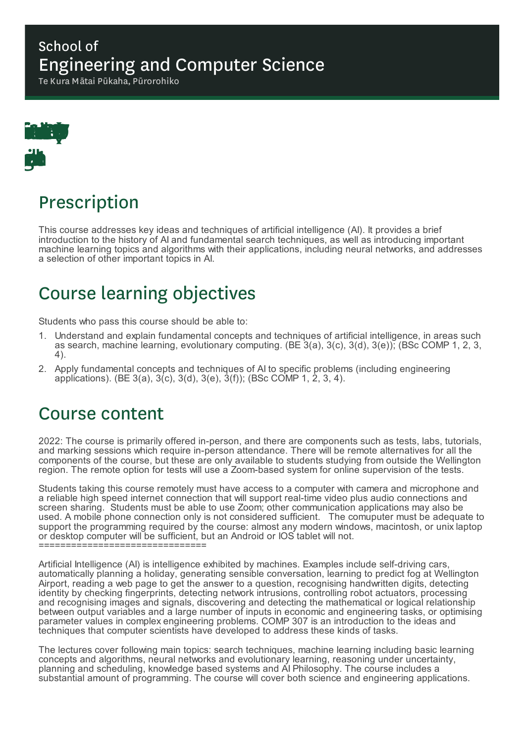#### School of Engineering and Computer Science

Te Kura Mātai Pūkaha, Pūrorohiko



# Prescription

This course addresses key ideas and techniques of artificial intelligence (AI). It provides a brief introduction to the history of AI and fundamental search techniques, as well as introducing important machine learning topics and algorithms with their applications, including neural networks, and addresses a selection of other important topics in AI.

# Course learning objectives

Students who pass this course should be able to:

- 1. Understand and explain fundamental concepts and techniques of artificial intelligence, in areas such as search, machine learning, evolutionary computing. (BE 3(a), 3(c), 3(d), 3(e)); (BSc COMP 1, 2, 3, 4).
- 2. Apply fundamental concepts and techniques of AI to specific problems (including engineering applications). (BE 3(a), 3(c), 3(d), 3(e), 3(f)); (BSc COMP 1, 2, 3, 4).

## Course content

2022: The course is primarily offered in-person, and there are components such as tests, labs, tutorials, and marking sessions which require in-person attendance. There will be remote alternatives for all the components of the course, but these are only available to students studying from outside the Wellington region. The remote option for tests will use a Zoom-based system for online supervision of the tests.

Students taking this course remotely must have access to a computer with camera and microphone and a reliable high speed internet connection that will support real-time video plus audio connections and screen sharing. Students must be able to use Zoom; other communication applications may also be used. A mobile phone connection only is not considered sufficient. The comuputer must be adequate to support the programming required by the course: almost any modern windows, macintosh, or unix laptop or desktop computer will be sufficient, but an Android or IOS tablet will not. ===============================

Artificial Intelligence (AI) is intelligence exhibited by machines. Examples include self-driving cars, automatically planning a holiday, generating sensible conversation, learning to predict fog at Wellington Airport, reading a web page to get the answer to a question, recognising handwritten digits, detecting identity by checking fingerprints, detecting network intrusions, controlling robot actuators, processing and recognising images and signals, discovering and detecting the mathematical or logical relationship between output variables and a large number of inputs in economic and engineering tasks, or optimising parameter values in complex engineering problems. COMP 307 is an introduction to the ideas and techniques that computer scientists have developed to address these kinds of tasks.

The lectures cover following main topics: search techniques, machine learning including basic learning concepts and algorithms, neural networks and evolutionary learning, reasoning under uncertainty, planning and scheduling, knowledge based systems and AI Philosophy. The course includes a substantial amount of programming. The course will cover both science and engineering applications.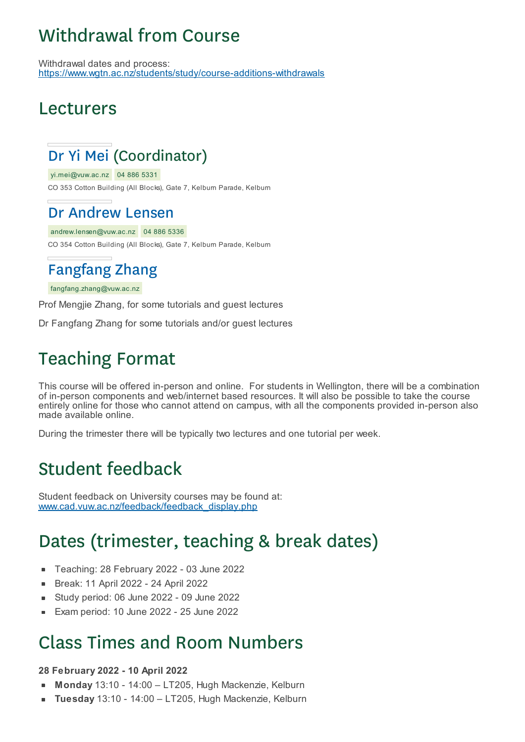# Withdrawal from Course

Withdrawal dates and process: https://www.wgtn.ac.nz/students/study/course-additions-withdrawals

## Lecturers

## Dr Yi Mei (Coordinator)

yi.mei@vuw.ac.nz 04 886 5331

CO 353 Cotton Building (All Blocks), Gate 7, Kelburn Parade, Kelburn

### Dr Andrew Lensen

andrew.lensen@vuw.ac.nz 04 886 5336 CO 354 Cotton Building (All Blocks), Gate 7, Kelburn Parade, Kelburn

## Fangfang Zhang

#### fangfang.zhang@vuw.ac.nz

Prof Mengjie Zhang, for some tutorials and guest lectures

Dr Fangfang Zhang for some tutorials and/or guest lectures

# Teaching Format

This course will be offered in-person and online. For students in Wellington, there will be a combination of in-person components and web/internet based resources. It will also be possible to take the course entirely online for those who cannot attend on campus, with all the components provided in-person also made available online.

During the trimester there will be typically two lectures and one tutorial per week.

## Student feedback

Student feedback on University courses may be found at: www.cad.vuw.ac.nz/feedback/feedback\_display.php

# Dates (trimester, teaching & break dates)

- Teaching: 28 February 2022 03 June 2022  $\blacksquare$
- Break: 11 April 2022 24 April 2022
- Study period: 06 June 2022 09 June 2022 ٠
- Exam period: 10 June 2022 25 June 2022 r.

### Class Times and Room Numbers

#### **28 February 2022 - 10 April 2022**

- **Monday** 13:10 14:00 LT205, Hugh Mackenzie, Kelburn
- **Tuesday** 13:10 14:00 LT205, Hugh Mackenzie, Kelburn $\blacksquare$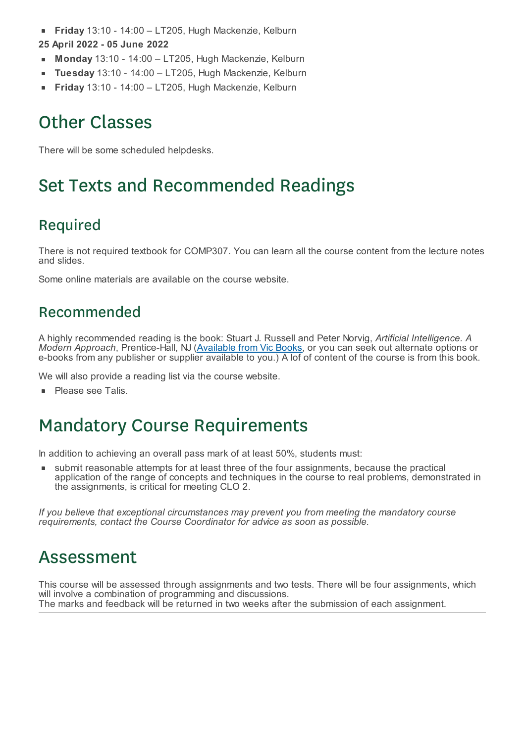**Friday** 13:10 - 14:00 – LT205, Hugh Mackenzie, Kelburn  $\blacksquare$ 

#### **25 April 2022 - 05 June 2022**

- **Monday** 13:10 14:00 LT205, Hugh Mackenzie, Kelburn
- **Tuesday** 13:10 14:00 LT205, Hugh Mackenzie, Kelburn r.
- **Friday** 13:10 14:00 LT205, Hugh Mackenzie, Kelburn

## Other Classes

There will be some scheduled helpdesks.

# Set Texts and Recommended Readings

### Required

There is not required textbook for COMP307. You can learn all the course content from the lecture notes and slides.

Some online materials are available on the course website.

#### Recommended

A highly recommended reading is the book: Stuart J. Russell and Peter Norvig, *Artificial Intelligence. A Modern Approach*, Prentice-Hall, NJ (Available from Vic Books, or you can seek out alternate options or e-books from any publisher or supplier available to you.) A lof of content of the course is from this book.

We will also provide a reading list via the course website.

**Please see Talis.** 

## Mandatory Course Requirements

In addition to achieving an overall pass mark of at least 50%, students must:

submit reasonable attempts for at least three of the four assignments, because the practical application of the range of concepts and techniques in the course to real problems, demonstrated in the assignments, is critical for meeting CLO 2.

*If you believe that exceptional circumstances may prevent you from meeting the mandatory course requirements, contact the Course Coordinator for advice as soon as possible.*

## Assessment

This course will be assessed through assignments and two tests. There will be four assignments, which will involve a combination of programming and discussions. The marks and feedback will be returned in two weeks after the submission of each assignment.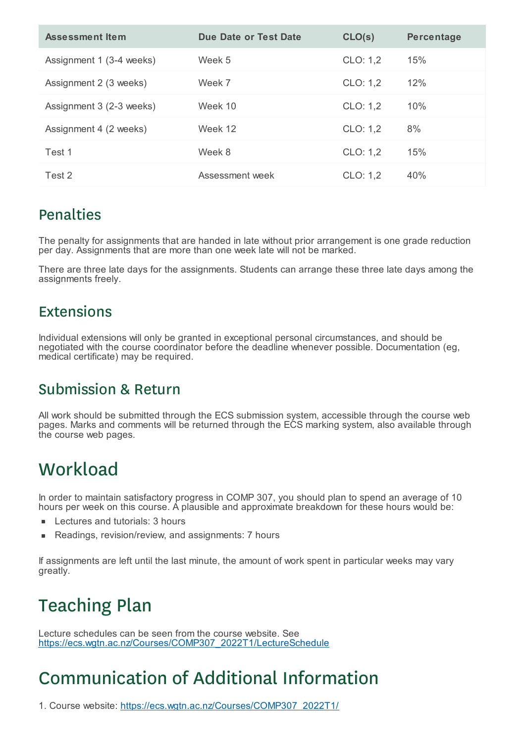| <b>Assessment Item</b>   | Due Date or Test Date | CLO(s)   | Percentage |
|--------------------------|-----------------------|----------|------------|
| Assignment 1 (3-4 weeks) | Week 5                | CLO: 1,2 | 15%        |
| Assignment 2 (3 weeks)   | Week 7                | CLO: 1,2 | 12%        |
| Assignment 3 (2-3 weeks) | Week 10               | CLO: 1,2 | 10%        |
| Assignment 4 (2 weeks)   | Week 12               | CLO: 1,2 | 8%         |
| Test 1                   | Week 8                | CLO: 1.2 | 15%        |
| Test 2                   | Assessment week       | CLO: 1,2 | 40%        |

### **Penalties**

The penalty for assignments that are handed in late without prior arrangement is one grade reduction per day. Assignments that are more than one week late will not be marked.

There are three late days for the assignments. Students can arrange these three late days among the assignments freely.

#### Extensions

Individual extensions will only be granted in exceptional personal circumstances, and should be negotiated with the course coordinator before the deadline whenever possible. Documentation (eg, medical certificate) may be required.

### Submission & Return

All work should be submitted through the ECS submission system, accessible through the course web pages. Marks and comments will be returned through the ECS marking system, also available through the course web pages.

# **Workload**

In order to maintain satisfactory progress in COMP 307, you should plan to spend an average of 10 hours per week on this course. A plausible and approximate breakdown for these hours would be:

- Lectures and tutorials: 3 hours
- Readings, revision/review, and assignments: 7 hours É

If assignments are left until the last minute, the amount of work spent in particular weeks may vary greatly.

# Teaching Plan

Lecture schedules can be seen from the course website. See https://ecs.wgtn.ac.nz/Courses/COMP307\_2022T1/LectureSchedule

# Communication of Additional Information

1. Course website: https://ecs.wgtn.ac.nz/Courses/COMP307\_2022T1/